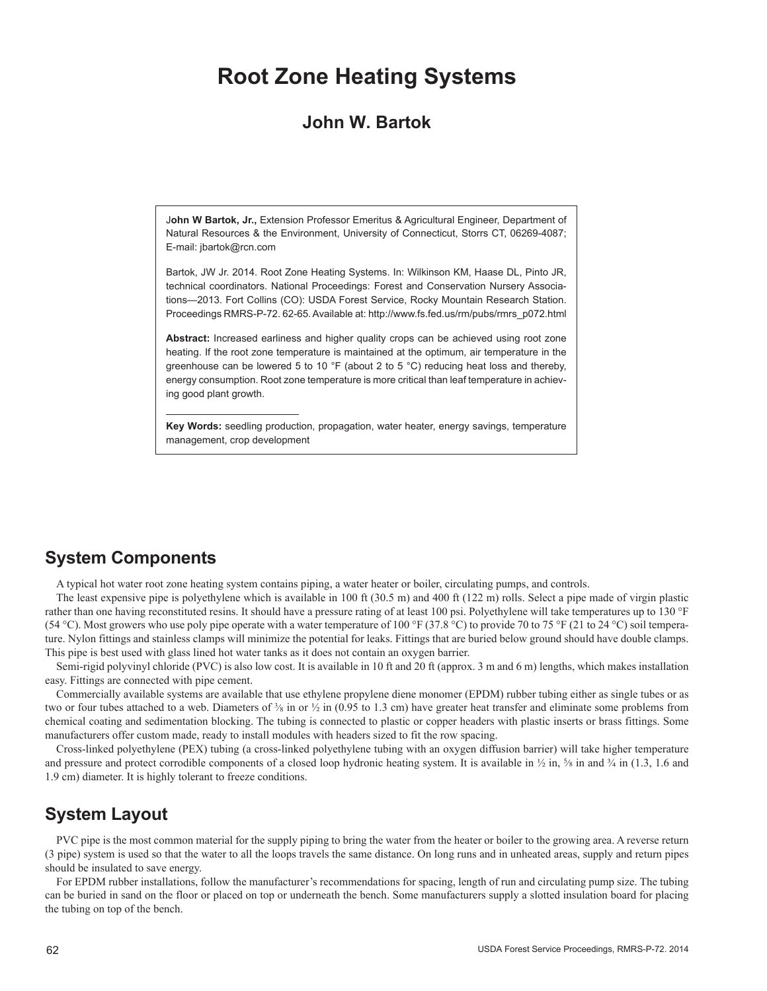# **Root Zone Heating Systems**

## **John W. Bartok**

J**ohn W Bartok, Jr.,** Extension Professor Emeritus & Agricultural Engineer, Department of Natural Resources & the Environment, University of Connecticut, Storrs CT, 06269-4087; E-mail: jbartok@rcn.com

Bartok, JW Jr. 2014. Root Zone Heating Systems. In: Wilkinson KM, Haase DL, Pinto JR, technical coordinators. National Proceedings: Forest and Conservation Nursery Associations—2013. Fort Collins (CO): USDA Forest Service, Rocky Mountain Research Station. Proceedings RMRS-P-72. 62-65. Available at: http://www.fs.fed.us/rm/pubs/rmrs\_p072.html

**Abstract:** Increased earliness and higher quality crops can be achieved using root zone heating. If the root zone temperature is maintained at the optimum, air temperature in the greenhouse can be lowered 5 to 10 °F (about 2 to 5 °C) reducing heat loss and thereby, energy consumption. Root zone temperature is more critical than leaf temperature in achieving good plant growth.

**Key Words:** seedling production, propagation, water heater, energy savings, temperature management, crop development

# **System Components**

A typical hot water root zone heating system contains piping, a water heater or boiler, circulating pumps, and controls.

The least expensive pipe is polyethylene which is available in 100 ft (30.5 m) and 400 ft (122 m) rolls. Select a pipe made of virgin plastic rather than one having reconstituted resins. It should have a pressure rating of at least 100 psi. Polyethylene will take temperatures up to 130 °F (54 °C). Most growers who use poly pipe operate with a water temperature of 100 °F (37.8 °C) to provide 70 to 75 °F (21 to 24 °C) soil temperature. Nylon fittings and stainless clamps will minimize the potential for leaks. Fittings that are buried below ground should have double clamps. This pipe is best used with glass lined hot water tanks as it does not contain an oxygen barrier.

Semi-rigid polyvinyl chloride (PVC) is also low cost. It is available in 10 ft and 20 ft (approx. 3 m and 6 m) lengths, which makes installation easy. Fittings are connected with pipe cement.

Commercially available systems are available that use ethylene propylene diene monomer (EPDM) rubber tubing either as single tubes or as two or four tubes attached to a web. Diameters of  $\frac{3}{8}$  in or  $\frac{1}{2}$  in (0.95 to 1.3 cm) have greater heat transfer and eliminate some problems from chemical coating and sedimentation blocking. The tubing is connected to plastic or copper headers with plastic inserts or brass fittings. Some manufacturers offer custom made, ready to install modules with headers sized to fit the row spacing.

Cross-linked polyethylene (PEX) tubing (a cross-linked polyethylene tubing with an oxygen diffusion barrier) will take higher temperature and pressure and protect corrodible components of a closed loop hydronic heating system. It is available in  $\frac{1}{2}$  in,  $\frac{5}{8}$  in and  $\frac{3}{4}$  in (1.3, 1.6 and 1.9 cm) diameter. It is highly tolerant to freeze conditions.

## **System Layout**

PVC pipe is the most common material for the supply piping to bring the water from the heater or boiler to the growing area. A reverse return (3 pipe) system is used so that the water to all the loops travels the same distance. On long runs and in unheated areas, supply and return pipes should be insulated to save energy.

For EPDM rubber installations, follow the manufacturer's recommendations for spacing, length of run and circulating pump size. The tubing can be buried in sand on the floor or placed on top or underneath the bench. Some manufacturers supply a slotted insulation board for placing the tubing on top of the bench.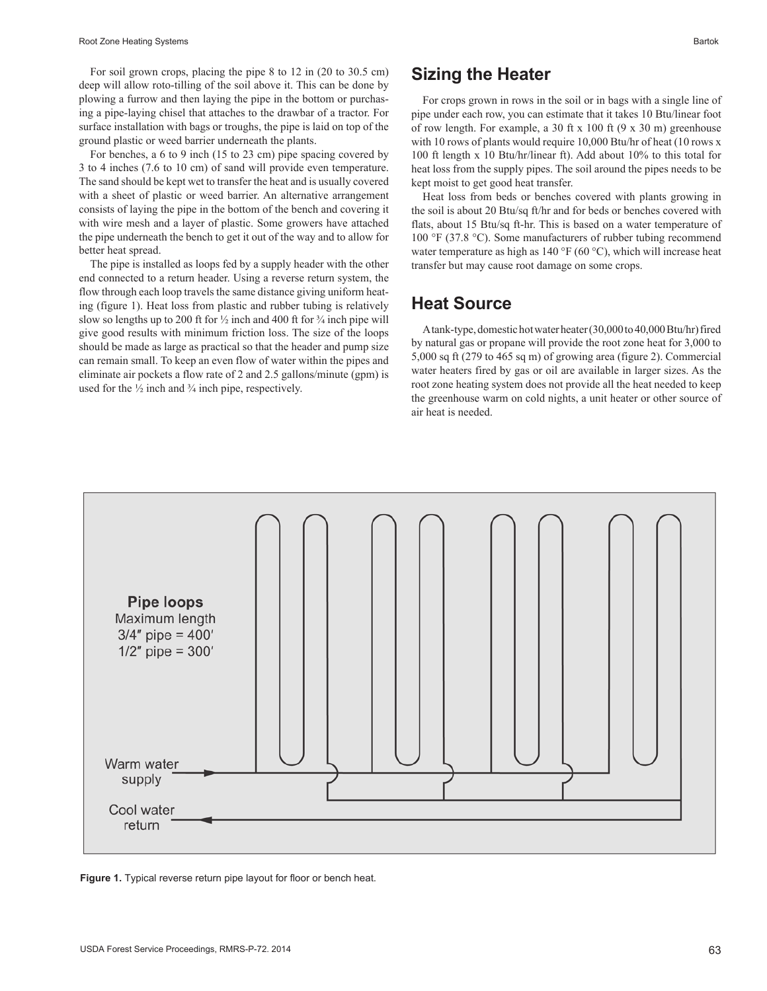For soil grown crops, placing the pipe 8 to 12 in (20 to 30.5 cm) deep will allow roto-tilling of the soil above it. This can be done by plowing a furrow and then laying the pipe in the bottom or purchasing a pipe-laying chisel that attaches to the drawbar of a tractor. For surface installation with bags or troughs, the pipe is laid on top of the ground plastic or weed barrier underneath the plants.

For benches, a 6 to 9 inch (15 to 23 cm) pipe spacing covered by 3 to 4 inches (7.6 to 10 cm) of sand will provide even temperature. The sand should be kept wet to transfer the heat and is usually covered with a sheet of plastic or weed barrier. An alternative arrangement consists of laying the pipe in the bottom of the bench and covering it with wire mesh and a layer of plastic. Some growers have attached the pipe underneath the bench to get it out of the way and to allow for better heat spread.

The pipe is installed as loops fed by a supply header with the other end connected to a return header. Using a reverse return system, the flow through each loop travels the same distance giving uniform heating (figure 1). Heat loss from plastic and rubber tubing is relatively slow so lengths up to 200 ft for  $\frac{1}{2}$  inch and 400 ft for  $\frac{3}{4}$  inch pipe will give good results with minimum friction loss. The size of the loops should be made as large as practical so that the header and pump size can remain small. To keep an even flow of water within the pipes and eliminate air pockets a flow rate of 2 and 2.5 gallons/minute (gpm) is used for the  $\frac{1}{2}$  inch and  $\frac{3}{4}$  inch pipe, respectively.

#### **Sizing the Heater**

For crops grown in rows in the soil or in bags with a single line of pipe under each row, you can estimate that it takes 10 Btu/linear foot of row length. For example, a 30 ft x 100 ft (9 x 30 m) greenhouse with 10 rows of plants would require 10,000 Btu/hr of heat (10 rows x 100 ft length x 10 Btu/hr/linear ft). Add about 10% to this total for heat loss from the supply pipes. The soil around the pipes needs to be kept moist to get good heat transfer.

Heat loss from beds or benches covered with plants growing in the soil is about 20 Btu/sq ft/hr and for beds or benches covered with flats, about 15 Btu/sq ft-hr. This is based on a water temperature of 100 °F (37.8 °C). Some manufacturers of rubber tubing recommend water temperature as high as  $140^{\circ}$ F (60 °C), which will increase heat transfer but may cause root damage on some crops.

#### **Heat Source**

A tank-type, domestic hot water heater (30,000 to 40,000 Btu/hr) fired by natural gas or propane will provide the root zone heat for 3,000 to 5,000 sq ft (279 to 465 sq m) of growing area (figure 2). Commercial water heaters fired by gas or oil are available in larger sizes. As the root zone heating system does not provide all the heat needed to keep the greenhouse warm on cold nights, a unit heater or other source of air heat is needed.



**Figure 1.** Typical reverse return pipe layout for floor or bench heat.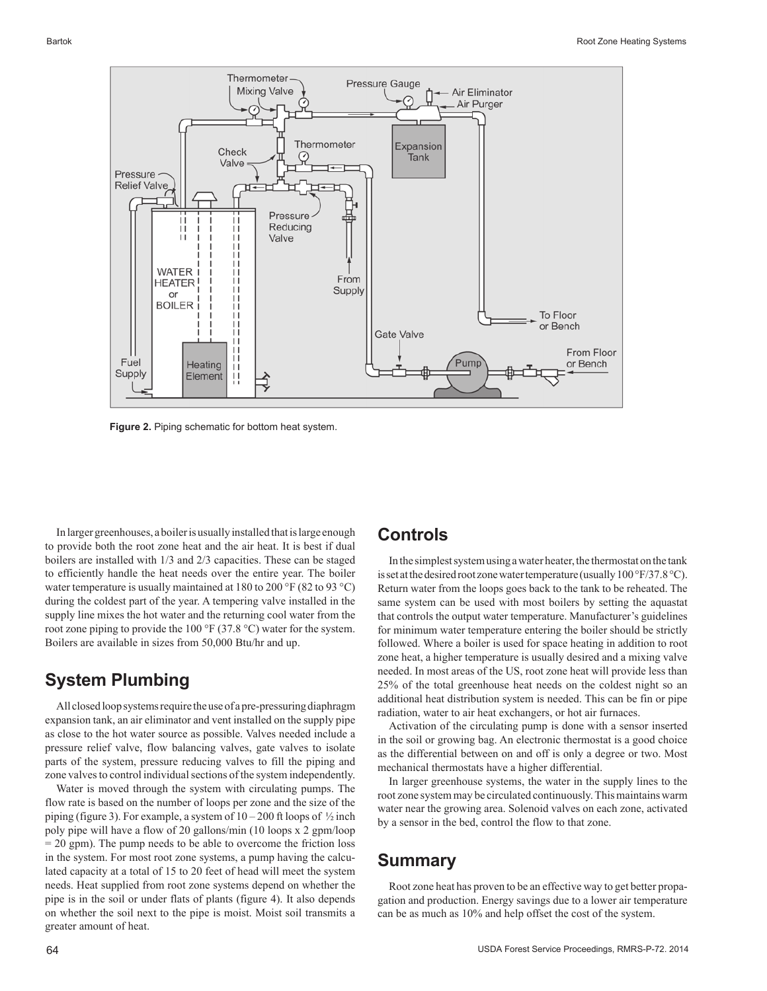

**Figure 2.** Piping schematic for bottom heat system.

In larger greenhouses, a boiler is usually installed that is large enough to provide both the root zone heat and the air heat. It is best if dual boilers are installed with 1/3 and 2/3 capacities. These can be staged to efficiently handle the heat needs over the entire year. The boiler water temperature is usually maintained at 180 to 200 °F (82 to 93 °C) during the coldest part of the year. A tempering valve installed in the supply line mixes the hot water and the returning cool water from the root zone piping to provide the 100 °F (37.8 °C) water for the system. Boilers are available in sizes from 50,000 Btu/hr and up.

# **System Plumbing**

All closed loop systems require the use of a pre-pressuring diaphragm expansion tank, an air eliminator and vent installed on the supply pipe as close to the hot water source as possible. Valves needed include a pressure relief valve, flow balancing valves, gate valves to isolate parts of the system, pressure reducing valves to fill the piping and zone valves to control individual sections of the system independently.

Water is moved through the system with circulating pumps. The flow rate is based on the number of loops per zone and the size of the piping (figure 3). For example, a system of  $10-200$  ft loops of  $\frac{1}{2}$  inch poly pipe will have a flow of 20 gallons/min (10 loops x 2 gpm/loop = 20 gpm). The pump needs to be able to overcome the friction loss in the system. For most root zone systems, a pump having the calculated capacity at a total of 15 to 20 feet of head will meet the system needs. Heat supplied from root zone systems depend on whether the pipe is in the soil or under flats of plants (figure 4). It also depends on whether the soil next to the pipe is moist. Moist soil transmits a greater amount of heat.

#### **Controls**

In the simplest system using a water heater, the thermostat on the tank is set at the desired root zone water temperature (usually 100°F/37.8°C). Return water from the loops goes back to the tank to be reheated. The same system can be used with most boilers by setting the aquastat that controls the output water temperature. Manufacturer's guidelines for minimum water temperature entering the boiler should be strictly followed. Where a boiler is used for space heating in addition to root zone heat, a higher temperature is usually desired and a mixing valve needed. In most areas of the US, root zone heat will provide less than 25% of the total greenhouse heat needs on the coldest night so an additional heat distribution system is needed. This can be fin or pipe radiation, water to air heat exchangers, or hot air furnaces.

Activation of the circulating pump is done with a sensor inserted in the soil or growing bag. An electronic thermostat is a good choice as the differential between on and off is only a degree or two. Most mechanical thermostats have a higher differential.

In larger greenhouse systems, the water in the supply lines to the root zone system may be circulated continuously. This maintains warm water near the growing area. Solenoid valves on each zone, activated by a sensor in the bed, control the flow to that zone.

## **Summary**

Root zone heat has proven to be an effective way to get better propagation and production. Energy savings due to a lower air temperature can be as much as 10% and help offset the cost of the system.